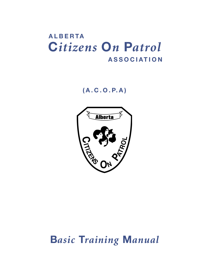## **A L B E R TA . . . . . . . . . . . . . . . . . . . . . . . . . . C***itizens* **O***n* **P***atrol* **. . . . . . . . . . . . . . . . . . . . . A S S O C I AT I O N**

**( A . C . O . P. A )**



# **B***asic* **T***raining* **M***anual*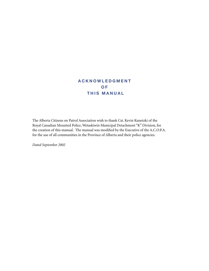### **A C K N O W L E D G M E N T O F THIS MANUAL**

The Alberta Citizens on Patrol Association wish to thank Cst. Kevin Kunetzki of the Royal Canadian Mounted Police, Wetaskiwin Municipal Detachment "K" Division, for the creation of this manual. The manual was modified by the Executive of the A.C.O.P.A. for the use of all communities in the Province of Alberta and their police agencies.

*Dated September 2002*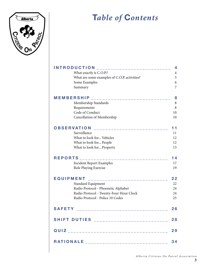

## **T***able of* **C***ontents*

|                   | <b>NTRODUCTION</b>                           | 4  |
|-------------------|----------------------------------------------|----|
|                   | What exactly is C.O.P.?                      | 4  |
|                   | What are some examples of C.O.P. activities? | 5  |
|                   | Some Examples                                | 6  |
|                   | Summary                                      | 7  |
| <b>MEMBERSHIP</b> | ------------------                           | 8  |
|                   | Membership Standards                         | 8  |
|                   | Requirements                                 | 8  |
|                   | Code of Conduct                              | 10 |
|                   | Cancellation of Membership                   | 10 |
|                   | <b>OBSERVATION</b><br>___________________    |    |
|                   | Surveillance                                 | 11 |
|                   | What to look for Vehicles                    | 12 |
|                   | What to look for People                      | 12 |
|                   | What to look for Property                    | 13 |
| <b>REPORTS</b>    | _______________________                      | 14 |
|                   | <b>Incident Report Examples</b>              | 17 |
|                   | Role Playing Exercise                        | 19 |
| <b>EQUIPMENT</b>  | _______________________                      | 22 |
|                   | Standard Equipment                           | 22 |
|                   | Radio Protocol - Phoenetic Alphabet          | 24 |
|                   | Radio Protocol - Twenty-Four Hour Clock      | 24 |
|                   | Radio Protocol - Police 10 Codes             | 25 |
| <b>SAFETY</b>     | <u> 1999 - Alexandr Alexandr II</u>          | 26 |
|                   | SHIFT DUTIES __________________________ 28   |    |
|                   |                                              | 29 |
|                   | RATIONALE _________________________________  | 34 |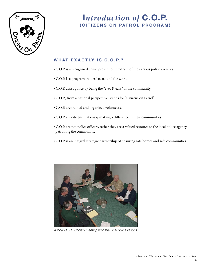

### WHAT EXACTLY IS C.O.P.?

- C.O.P. is a recognized crime prevention program of the various police agencies.
- C.O.P. is a program that exists around the world.
- C.O.P. assist police by being the "eyes & ears" of the community.
- C.O.P., from a national perspective, stands for "Citizens on Patrol".
- C.O.P. are trained and organized volunteers.
- C.O.P. are citizens that enjoy making a difference in their communities.
- C.O.P. are not police officers, rather they are a valued resource to the local police agency patrolling the community.
- C.O.P. is an integral strategic partnership of ensuring safe homes and safe communities.



*A local C.O.P. Society meeting with the local police liasons.*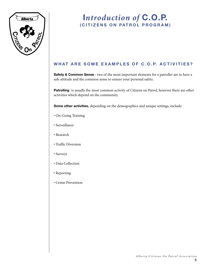

### WHAT ARE SOME EXAMPLES OF C.O.P. ACTIVITIES?

**Safety & Common Sense** - two of the most important elements for a patroller are to have a safe attitude and the common sense to ensure your personal safety.

Patrolling is usually the most common activity of Citizens on Patrol, however there are other activities which depend on the community.

**Some other activities,** depending on the demographics and unique settings, include:

- On-Going Training
- Surveillance
- Research
- Traffic Diversion
- Surveys
- Data Collection
- Reporting
- Crime Prevention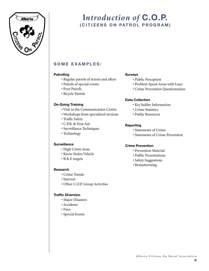

### **S O M E E X A M P L E S :**

#### **Patrolling**

- Regular patrols of streets and alleys
- Patrols of special events
- Foot Patrols
- Bicycle Patrols

#### **On-Going Training**

- Visit to the Communication Centre
- Workshops from specialized sections
- Traffic Safety
- C.P.R. & First Aid
- Surveillance Techniques
- Technology

#### **Surveillance**

- High Crime areas
- Know Stolen Vehicle
- B & E targets

#### **Research**

- Crime Trends
- Internet
- Other C.O.P. Group Activities

#### **Traffic Diversion**

- Major Disasters
- Accidents
- Fires
- Special Events

#### **Surveys**

- Public Perception
- Problem Speed Areas with Laser
- Crime Prevention Questionnaires

#### **Data Collection**

- Key holder Information
- Crime Statistics
- Public Resources

#### **Reporting**

- Statements of Crime
- Statements of Crime Prevention

#### **Crime Prevention**

- Prevention Material
- Public Presentations
- Safety Suggestions
- Brainstorming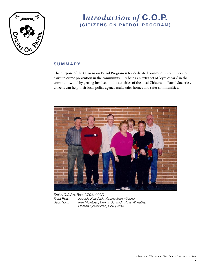

### **S U M M A R Y**

The purpose of the Citizens on Patrol Program is for dedicated community volunteers to assist in crime prevention in the community. By being an extra set of "eyes & ears" in the community, and by getting involved in the activities of the local Citizens on Patrol Societies, citizens can help their local police agency make safer homes and safer communities.



*First A.C.O.P.A. Board (2001/2002) Front Row: Jacquie Kolsdonk, Katrina Mann-Young. Back Row: Ken McIntosh, Dennis Schmidt, Russ Wheatley, Colleen Fjordbotten, Doug Wise.*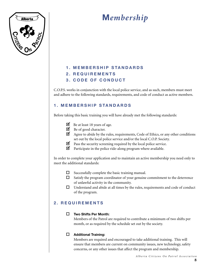

# **M***embership*

#### **1 . M E M B E R S H I P S TA N D A R D S**

#### **2 . R E Q U I R E M E N T S**

#### **3 . C O D E O F C O N D U C T**

C.O.P.S. works in conjunction with the local police service, and as such, members must meet and adhere to the following standards, requirements, and code of conduct as active members.

#### **1 . M E M B E R S H I P S TA N D A R D S**

Before taking this basic training you will have already met the following standards:

| $\blacksquare$ Be at least 18 years of age. |
|---------------------------------------------|
|                                             |

- $\blacksquare$  Be of good character.
- **Ø** Agree to abide by the rules, requirements, Code of Ethics, or any other conditions set out by the local police service and/or the local C.O.P. Society.
- $\blacksquare$  Pass the security screening required by the local police service.
- $\blacksquare$  Participate in the police ride-along program where available.

In order to complete your application and to maintain an active membership you need only to meet the additional standards:

- $\square$  Successfully complete the basic training manual.
- $\Box$  Satisfy the program coordinator of your genuine commitment to the deterrence of unlawful activity in the community.
- $\Box$  Understand and abide at all times by the rules, requirements and code of conduct of the program.

### **2 . R E Q U I R E M E N T S**

#### o **Two Shifts Per Month:**

Members of the Patrol are required to contribute a minimum of two shifts per month, or as required by the schedule set out by the society.

#### $\Box$  Additional Training:

Members are required and encouraged to take additional training. This will ensure that members are current on community issues, new technology, safety concerns, or any other issues that affect the program and membership.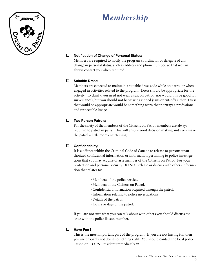

# **M***embership*

#### □ Notification of Change of Personal Status:

Members are required to notify the program coordinator or delegate of any change in personal status, such as address and phone number, so that we can always contact you when required.

#### o **Suitable Dress:**

Members are expected to maintain a suitable dress code while on patrol or when engaged in activities related to the program. Dress should be appropriate for the activity. To clarify, you need not wear a suit on patrol (nor would this be good for surveillance), but you should not be wearing ripped jeans or cut-offs either. Dress that would be appropriate would be something worn that portrays a professional and respectable image.

#### □ Two Person Patrols:

For the safety of the members of the Citizens on Patrol, members are always required to patrol in pairs. This will ensure good decision making and even make the patrol a little more entertaining!

#### o **Confidentiality:**

It is a offence within the Criminal Code of Canada to release to persons unauthorized confidential information or information pertaining to police investigations that you may acquire of as a member of the Citizens on Patrol. For your protection and personal security DO NOT release or discuss with others information that relates to:

- Members of the police service.
- Members of the Citizens on Patrol.
- Confidential Information acquired through the patrol.
- Information relating to police investigations.
- Details of the patrol.
- Hours or days of the patrol.

If you are not sure what you can talk about with others you should discuss the issue with the police liaison member.

#### □ Have Fun !

This is the most important part of the program. If you are not having fun then you are probably not doing something right. You should contact the local police liaison or C.O.P.S. President immediately !!!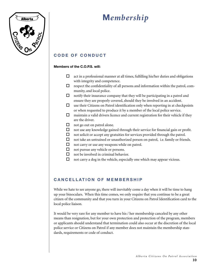

# **M***embership*

### **C O D E O F C O N D U C T**

#### **Members of the C.O.P.S. will:**

- $\Box$  act in a professional manner at all times, fulfilling his/her duties and obligations with integrity and competence.
- $\Box$  respect the confidentiality of all persons and information within the patrol, community, and local police.
- $\Box$  notify their insurance company that they will be participating in a patrol and ensure they are properly covered, should they be involved in an accident.
- $\Box$  use their Citizens on Patrol identification only when reporting in at checkpoints or when requested to produce it by a member of the local police service.
- $\Box$  maintain a valid drivers licence and current registration for their vehicle if they are the driver.
- $\Box$  not go out on patrol alone.
- $\Box$  not use any knowledge gained through their service for financial gain or profit.
- $\Box$  not solicit or accept any gratuities for services provided through the patrol.
- $\Box$  not take an untrained or unauthorized person on patrol, i.e. family or friends.
- $\Box$  not carry or use any weapons while on patrol.
- $\Box$  not pursue any vehicle or persons.
- $\Box$  not be involved in criminal behavior.
- $\Box$  not carry a dog in the vehicle, especially one which may appear vicious.

#### **CANCELLATION OF MEMBERSHIP**

While we hate to see anyone go, there will inevitably come a day when it will be time to hang up your binoculars. When this time comes, we only require that you continue to be a great citizen of the community and that you turn in your Citizens on Patrol Identification card to the local police liaison.

It would be very rare for any member to have his / her membership canceled by any other means than resignation, but for your own protection and protection of the program, members or applicants should understand that termination could also occur at the discretion of the local police service or Citizens on Patrol if any member does not maintain the membership standards, requirements or code of conduct.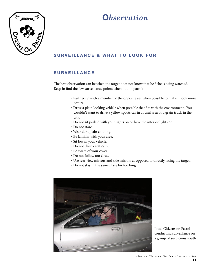

## **O***bservation*

### **SURVEILLANCE & WHAT TO LOOK FOR**

### **S U R V E I L L A N C E**

The best observation can be when the target does not know that he / she is being watched. Keep in find the few surveillance points when out on patrol:

- Partner up with a member of the opposite sex when possible to make it look more natural.
- Drive a plain looking vehicle when possible that fits with the environment. You wouldn't want to drive a yellow sports car in a rural area or a grain truck in the city.
- Do not sit parked with your lights on or have the interior lights on.
- Do not stare.
- Wear dark plain clothing.
- Be familiar with your area.
- Sit low in your vehicle.
- Do not drive erratically.
- Be aware of your cover.
- Do not follow too close.
- Use rear view mirrors and side mirrors as opposed to directly facing the target.
- Do not stay in the same place for too long.



Local Citizens on Patrol conducting surveillance on a group of suspicious youth

*A l b e r t a C i t i z e n s O n P a t r o l A s s o c i a t i o n* **11**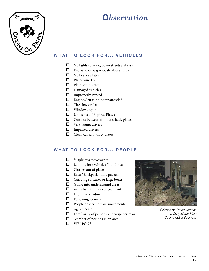

## **O***bservation*

### **WHAT TO LOOK FOR... VEHICLES**

- $\Box$  No lights (driving down streets / alleys)
- $\square$  Excessive or suspiciously slow speeds
- $\square$  No licence plates
- $\Box$  Plates wired on
- $\Box$  Plates over plates
- $\square$  Damaged Vehicles
- $\square$  Improperly Parked
- $\square$  Engines left running unattended
- $\Box$  Tires low or flat
- $\Box$  Windows open
- $\square$  Unlicenced / Expired Plates
- $\Box$  Conflict between front and back plates
- $\Box$  Very young drivers
- $\Box$  Impaired drivers
- $\Box$  Clean car with dirty plates

#### **WHAT TO LOOK FOR... PEOPLE**

- $\square$  Suspicious movements
- $\Box$  Looking into vehicles / buildings
- $\Box$  Clothes out of place
- $\hfill \Box$  Bags / Backpack oddly packed
- $\Box$  Carrying suitcases or large boxes
- $\Box$  Going into underground areas
- $\Box$  Arms held funny concealment
- $\Box$  Hiding in shadows
- $\Box$  Following women
- $\Box$  People observing your movements
- $\Box$  Age of person
- $\Box$  Familiarity of person i.e. newspaper man
- $\Box$  Number of persons in an area
- $\Box$  WEAPONS!



*Citizens on Patrol witness a Suspicious Male Casing out a Business*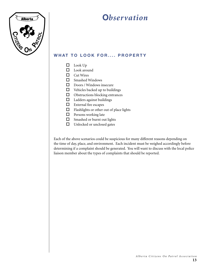

## **O***bservation*

### **WHAT TO LOOK FOR.... PROPERTY**

- $\Box$  Look Up
- $\square$  Look around
- $\Box$  Cut Wires
- $\square$  Smashed Windows
- $\Box$  Doors / Windows insecure
- $\Box$  Vehicles backed up to buildings
- $\hfill\Box$ <br> <br> Obstructions blocking entrances
- $\Box$  Ladders against buildings
- $\qquad \qquad \Box$  <br>External fire escapes
- $\Box$  Flashlights or other out of place lights
- $\Box$  Persons working late
- $\square$  Smashed or burnt out lights
- $\hfill\Box$  <br>Unlocked or unclosed gates

Each of the above scenarios could be suspicious for many different reasons depending on the time of day, place, and environment. Each incident must be weighed accordingly before determining if a complaint should be generated. You will want to discuss with the local police liaison member about the types of complaints that should be reported.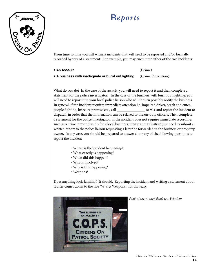

From time to time you will witness incidents that will need to be reported and/or formally recorded by way of a statement. For example, you may encounter either of the two incidents:

**• An Assault** (Crime)

**• A business with inadequate or burnt out lighting** (Crime Prevention)

What do you do? In the case of the assault, you will need to report it and then complete a statement for the police investigator. In the case of the business with burnt out lighting, you will need to report it to your local police liaison who will in turn possibly notify the business. In general, if the incident requires immediate attention i.e. impaired driver, break and enter, people fighting, insecure premise etc., call \_\_\_\_\_\_\_\_\_\_\_\_\_\_\_ or 911 and report the incident to dispatch, in order that the information can be relayed to the on-duty officers. Then complete a statement for the police investigator. If the incident does not require immediate recording, such as a crime prevention tip for a local business, then you may instead just need to submit a written report to the police liaison requesting a letter be forwarded to the business or property owner. In any case, you should be prepared to answer all or any of the following questions to report the incident

- Where is the incident happening?
- What exactly is happening?
- When did this happen?
- Who is involved?
- Why is this happening?
- Weapons?

Does anything look familiar? It should. Reporting the incident and writing a statement about it after comes down to the five "W"s & Weapons! It's that easy.



*Posted on a Local Business Window*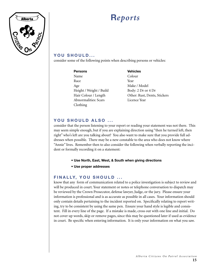

### YOU SHOULD...

consider some of the following points when describing persons or vehicles:

| <b>Persons</b>              | Veh        |
|-----------------------------|------------|
| Name                        | Cok        |
| Race                        | Year       |
| Age                         | Mak        |
| Height / Weight / Build     | <b>Bod</b> |
| Hair Colour / Length        | Oth        |
| <b>Abnormalities: Scars</b> | Lice       |
| Clothing                    |            |
|                             |            |

**Vehicles** Colour Make / Model Body: 2 Dr or 4 Dr Other: Rust, Dents, Stickers Licence Year

#### **YOU SHOULD ALSO ...**

consider that the person listening to your report or reading your statement was not there. This may seem simple enough, but if you are explaining direction using "then he turned left, then right" who's left are you talking about? You also want to make sure that you provide full addresses when possible. There may be a new constable to the area who does not know where "Annie" lives. Remember then to also consider the following when verbally reporting the incident or formally recording it on a statement:

- **Use North, East, West, & South when giving directions**
- **Use proper addresses**

#### **FINALLY, YOU SHOULD ...**

know that any form of communication related to a police investigation is subject to review and will be produced in court. Your statement or notes or telephone conversation to dispatch may be reviewed by the Crown Prosecutor, defense lawyer, Judge, or the jury. Please ensure your information is professional and is as accurate as possible in all cases. Your information should only contain details pertaining to the incident reported on. Specifically relating to report writing, try to be consistent by using the same pen. Ensure your hand style is legible and consistent. Fill in every line of the page. If a mistake is made, cross out with one line and initial. Do not cover up words, skip or remove pages, since this may be questioned later if used as evidence in court. Be specific when entering information. It is only your information on what you saw.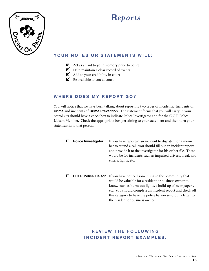

### **YOUR NOTES OR STATEMENTS WILL:**

- $\blacksquare$  Act as an aid to your memory prior to court
- $\blacksquare$  Help maintain a clear record of events
- $\overline{\mathbf{d}}$  Add to your credibility in court
- $\Box$  Be available to you at court

#### **WHERE DOES MY REPORT GO?**

You will notice that we have been talking about reporting two types of incidents: Incidents of **Crime** and incidents of **Crime Prevention**. The statement forms that you will carry in your patrol kits should have a check box to indicate Police Investigator and for the C.O.P. Police Liaison Member. Check the appropriate box pertaining to your statement and then turn your statement into that person.

| <b>Police Investigator</b> | If you have reported an incident to dispatch for a mem-<br>ber to attend a call, you should fill out an incident report<br>and provide it to the investigator for his or her file. These<br>would be for incidents such as impaired drivers, break and<br>enters, fights, etc.                                                                                           |
|----------------------------|--------------------------------------------------------------------------------------------------------------------------------------------------------------------------------------------------------------------------------------------------------------------------------------------------------------------------------------------------------------------------|
|                            | <b>C.O.P. Police Liaison</b> If you have noticed something in the community that<br>would be valuable for a resident or business owner to<br>know, such as burnt out lights, a build up of newspapers,<br>etc., you should complete an incident report and check off<br>this category to have the police liaison send out a letter to<br>the resident or business owner. |

### **REVIEW THE FOLLOWING INCIDENT REPORT EXAMPLES.**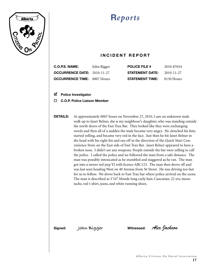

### **INCIDENT REPORT**

| <b>C.O.P.S. NAME:</b>                | John Bigger | <b>POLICE FILE #</b>   | 2010-87654 |
|--------------------------------------|-------------|------------------------|------------|
| <b>OCCURRENCE DATE:</b> $2010-11-27$ |             | <b>STATEMENT DATE:</b> | 2010-11-27 |
| <b>OCCURRENCE TIME:</b> 0007 Hours   |             | <b>STATEMENT TIME:</b> | 0130 Hours |

o **Police Investigator** ✓

#### □ C.O.P. Police Liaison Member

**DETAILS:** At approximately 0007 hours on November 27, 2010, I saw an unknown male walk up to Janet Belner, she is my neighbour's daughter, who was standing outside the north doors of the Fast Trax Bar. They looked like they were exchanging words and then all of a sudden the male became very angry. He clenched his fists, started yelling, and became very red in the face. Just then he hit Janet Belner in the head with his right fist and ran off in the direction of the Quick Mart Convenience Store on the East side of Fast Trax Bar. Janet Belner appeared to have a broken nose. I didn't see any weapons. People outside the bar were yelling to call the police. I called the police and we followed the man from a safe distance. The man was possibly intoxicated as he stumbled and staggered as he ran. The man got into a newer red jeep YJ with licence ABC123. The man then drove off and was last seen heading West on 40 Avenue from 56 Street. He was driving too fast for us to follow. We drove back to Fast Trax bar where police arrived on the scene. The man is described as 5'10", blonde long curly hair, Caucasian, 22 yrs, moustache, red t-shirt, jeans, and white running shoes.

**Signed: John Bigger Witnessed:** *Alex Jackson*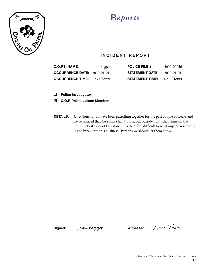

### **INCIDENT REPORT**

| C.O.P.S. NAME:                     | John Bigger | <b>POLICE FILE #</b>   | 2010-00056 |
|------------------------------------|-------------|------------------------|------------|
| <b>OCCURRENCE DATE:</b> 2010-01-01 |             | <b>STATEMENT DATE:</b> | 2010-01-01 |
| <b>OCCURRENCE TIME:</b> 0230 Hours |             | <b>STATEMENT TIME:</b> | 0230 Hours |

o **Police Investigator**

- **Ø C.O.P. Police Liaison Member**
- **DETAILS:** Janet Toner and I have been patrolling together for the past couple of weeks and we've noticed that Joe's Pizza has 7 burnt out outside lights that shine on the South & East sides of this store. It is therefore difficult to see if anyone was wanting to break into this business. Perhaps we should let them know.

**Signed: John Bigger Witnessed:** *Janet Toner*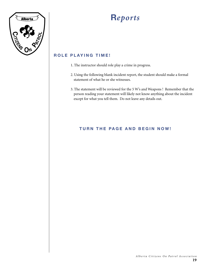

### **ROLE PLAYING TIME!**

- 1. The instructor should role play a crime in progress.
- 2. Using the following blank incident report, the student should make a formal statement of what he or she witnesses.
- 3. The statement will be reviewed for the 5 W's and Weapons ! Remember that the person reading your statement will likely not know anything about the incident except for what you tell them. Do not leave any details out.

### **TURN THE PAGE AND BEGIN NOW!**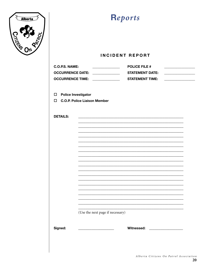

### **INCIDENT REPORT**

| C.O.P.S. NAME:          | <b>POLICE FILE #</b>   |
|-------------------------|------------------------|
| <b>OCCURRENCE DATE:</b> | <b>STATEMENT DATE:</b> |
| <b>OCCURRENCE TIME:</b> | <b>STATEMENT TIME:</b> |

 $\square$  Police Investigator

□ C.O.P. Police Liaison Member

| <b>DETAILS:</b> |                                                                                                                                                        |
|-----------------|--------------------------------------------------------------------------------------------------------------------------------------------------------|
|                 |                                                                                                                                                        |
|                 |                                                                                                                                                        |
|                 |                                                                                                                                                        |
|                 |                                                                                                                                                        |
|                 |                                                                                                                                                        |
|                 |                                                                                                                                                        |
|                 |                                                                                                                                                        |
|                 |                                                                                                                                                        |
|                 |                                                                                                                                                        |
|                 |                                                                                                                                                        |
|                 |                                                                                                                                                        |
|                 |                                                                                                                                                        |
|                 |                                                                                                                                                        |
|                 |                                                                                                                                                        |
|                 | (Use the next page if necessary)                                                                                                                       |
| Signed:         | Witnessed: ___________________<br><u> 1989 - Johann Barn, mars eta bat eta bat eta bat eta bat eta bat eta bat eta bat eta bat eta bat eta bat eta</u> |
|                 |                                                                                                                                                        |
|                 |                                                                                                                                                        |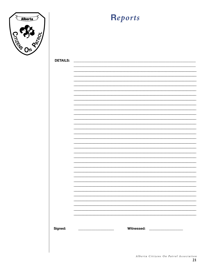

| <b>DETAILS:</b> |                                                                               |
|-----------------|-------------------------------------------------------------------------------|
|                 |                                                                               |
|                 |                                                                               |
|                 |                                                                               |
|                 | ÷                                                                             |
|                 |                                                                               |
|                 |                                                                               |
|                 | ÷                                                                             |
|                 |                                                                               |
|                 |                                                                               |
|                 | -                                                                             |
|                 |                                                                               |
|                 |                                                                               |
|                 | ÷                                                                             |
|                 |                                                                               |
|                 |                                                                               |
|                 | -                                                                             |
|                 |                                                                               |
|                 |                                                                               |
|                 | ÷                                                                             |
|                 |                                                                               |
|                 |                                                                               |
|                 | -                                                                             |
|                 |                                                                               |
|                 |                                                                               |
|                 | ÷                                                                             |
|                 |                                                                               |
|                 |                                                                               |
|                 |                                                                               |
|                 | -                                                                             |
|                 |                                                                               |
|                 | Ξ.                                                                            |
|                 | $\overline{\phantom{0}}$                                                      |
|                 |                                                                               |
|                 |                                                                               |
| Signed:         | Witnessed: ___________________<br><u> 1980 - Jan Samuel Barbara, martin d</u> |
|                 |                                                                               |
|                 |                                                                               |
|                 |                                                                               |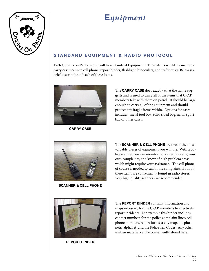

### STANDARD EQUIPMENT & RADIO PROTOCOL

Each Citizens on Patrol group will have Standard Equipment. These items will likely include a carry case, scanner, cell phone, report binder, flashlight, binoculars, and traffic vests. Below is a brief description of each of these items.



**CARRY CASE**

The **CARRY CASE** does exactly what the name suggests and is used to carry all of the items that C.O.P. members take with them on patrol. It should be large enough to carry all of the equipment and should protect any fragile items within. Options for cases include: metal tool box, solid sided bag, nylon sport bag or other cases.



**SCANNER & CELL PHONE**

The **SCANNER & CELL PHONE** are two of the most valuable pieces of equipment you will use. With a police scanner you can monitor police service calls, your own complaints, and know of high problem areas which might require your assistance. The cell phone of course is needed to call in the complaints. Both of these items are conveniently found in radio stores. Very high quality scanners are recommended.



**REPORT BINDER**

The **REPORT BINDER** contains information and maps necessary for the C.O.P. members to effectively report incidents. For example this binder includes contact numbers for the police complaint lines, cell phone numbers, report forms, a city map, the phonetic alphabet, and the Police Ten Codes. Any other written material can be conveniently stored here.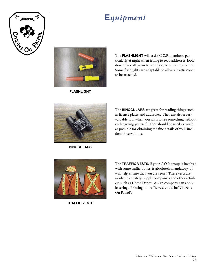



**FLASHLIGHT**

The **FLASHLIGHT** will assist C.O.P. members, particularly at night when trying to read addresses, look down dark alleys, or to alert people of their presence. Some flashlights are adaptable to allow a traffic cone to be attached.



**BINOCULARS**

The **BINOCULARS** are great for reading things such as licence plates and addresses. They are also a very valuable tool when you wish to see something without endangering yourself. They should be used as much as possible for obtaining the fine details of your incident observations.



**TRAFFIC VESTS**

The **TRAFFIC VESTS**, if your C.O.P. group is involved with some traffic duties, is absolutely mandatory. It will help ensure that you are seen ! These vests are available at Safety Supply companies and other retailers such as Home Depot. A sign company can apply lettering. Printing on traffic vest could be "Citizens On Patrol".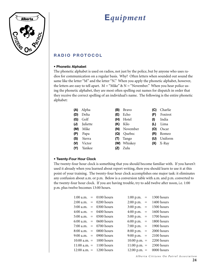

### **RADIO PROTOCOL**

#### **• Phonetic Alphabet**

The phonetic alphabet is used on radios, not just by the police, but by anyone who uses radios for communication on a regular basis. Why? Often letters when sounded out sound the same like the letter "M" and the letter "N." When you apply the phonetic alphabet, however, the letters are easy to tell apart.  $M = "Mike" \& N = "November."$  When you hear police using the phonetic alphabet, they are most often spelling out names for dispatch in order that they receive the correct spelling of an individual's name. The following is the entire phonetic alphabet:

| (A) | Alpha    | (B) | <b>Bravo</b> | (C) | Charlie |
|-----|----------|-----|--------------|-----|---------|
| (D) | Delta    | (E) | Echo         | (F) | Foxtrot |
| (G) | Golf     | (H) | Hotel        | (1) | India   |
| (J) | Juliette | (K) | Kilo         | (L) | Lima    |
| (M) | Mike     | (N) | November     | (O) | Oscar   |
| (P) | Papa     | (Q) | Quebec       | (R) | Romeo   |
| (S) | Sierra   | (T) | Tango        | (U) | Uniform |
| (V) | Victor   |     | (W) Whiskey  | (X) | X-Ray   |
| (Y) | Yankee   | (Z) | Zulu         |     |         |

#### **• Twenty-Four Hour Clock**

The twenty-four hour clock is something that you should become familiar with. If you haven't used it already when you learned about report writing, then you should learn to use it at this point of your training. The twenty-four hour clock accomplishes one major task: it eliminates any confusion about a.m. or p.m. Below is a conversion table with a.m. and p.m. converted to the twenty-four hour clock. If you are having trouble, try to add twelve after noon, i.e. 1:00 p.m. plus twelve becomes 13:00 hours.

|  | $1:00$ a.m. = 0100 hours  | $1:00 \text{ p.m. } =$ | 1300 hours |
|--|---------------------------|------------------------|------------|
|  | $2:00$ a.m. = 0200 hours  | $2:00 \text{ p.m.} =$  | 1400 hours |
|  | $3:00$ a.m. = 0300 hours  | $3:00 \text{ p.m. } =$ | 1500 hours |
|  | 4:00 a.m. $= 0400$ hours  | 4:00 p.m. $=$          | 1600 hours |
|  | 5:00 a.m. $=$ 0500 hours  | $5:00 \text{ p.m.} =$  | 1700 hours |
|  | $6:00$ a.m. = 0600 hours  | 6:00 p.m. $=$          | 1800 hours |
|  | 7:00 a.m. $=$ 0700 hours  | 7:00 p.m. $=$          | 1900 hours |
|  | $8:00$ a.m. = 0800 hours  | $8:00 \text{ p.m.} =$  | 2000 hours |
|  | 9:00 a.m. = 0900 hours    | 9:00 p.m. $=$          | 2100 hours |
|  | 10:00 a.m. = $1000$ hours | $10:00$ p.m. =         | 2200 hours |
|  | $11:00$ a.m. = 1100 hours | $11:00$ p.m. =         | 2300 hours |
|  | 12:00 a.m. $=$ 1200 hours | $12:00$ p.m. =         | 0000 hours |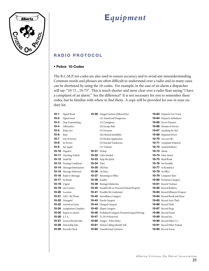

### **RADIO PROTOCOL**

#### **• Police 10-Codes**

The R.C.M.P. ten codes are also used to ensure accuracy and to avoid any misunderstanding. Common words and phrases are often difficult to understand over a radio and in many cases can be shortened by using the 10-codes. For example, in the case of an alarm a dispatcher will say: "10-71...10-73". This is much shorter and more clear over a radio than saying "I have a complaint of an alarm." See the difference? It is not necessary for you to remember these codes, but be familiar with where to find them. A copy will be provided for you in your onduty kit.

| $10 - 1$     | Signal Weak                      |                     | <b>10-30</b> Danger/Caution (followed by)                |                    | <b>10-63</b> Dispatch Tow Truck      |
|--------------|----------------------------------|---------------------|----------------------------------------------------------|--------------------|--------------------------------------|
| $10-2$       | Signal Good                      |                     | (A) Armed and Dangerous                                  |                    | <b>10-64</b> Dispatch Ambulance      |
| $10-3$       | <b>Stop Transmitting</b>         |                     | (C) Contagious                                           |                    | 10-65 Escort Prisoner                |
| $10 - 4$     | Affirmative                      |                     | (E) Escape Risk                                          |                    | <b>10-66</b> Remain in Service       |
| $10 - 5$     | Relay (to)                       |                     | (F) Firearms                                             |                    | <b>10-67</b> Anything for Me?        |
| $10-6$       | Busy                             |                     | (M) Mental Instability                                   |                    | <b>10-68</b> Impaired Driver         |
| $10-7$       | Out of Service                   |                     | (P) Pardon Application                                   |                    | <b>10-70</b> Are you OK?             |
| $10 - 8$     | In Service                       |                     | (S) Suicidal Tendencies                                  |                    | <b>10-71</b> Complaint Dispatch      |
| $10-9$       | Say Again                        |                     | (V) Violence                                             |                    | <b>10-72</b> Armed Robbery           |
|              | <b>10-10</b> Negative            | <b>10-31</b> Pickup |                                                          | <b>10-73</b> Alarm |                                      |
|              | <b>10-11</b> Checking Vehicle    |                     | <b>10-32</b> Units Needed                                |                    | <b>10-74</b> False Alarm             |
|              | $10-12$ Stand By                 |                     | <b>10-33</b> Help Me Quick                               |                    | <b>10-75</b> Meal Break              |
|              | <b>10-13</b> Existing Conditions | <b>10-34</b> Time   |                                                          |                    | <b>10-76</b> On Portable             |
|              | <b>10-14</b> Message/Information |                     | <b>10-35</b> Off Duty                                    |                    | <b>10-77</b> At Residence            |
|              | <b>10-15</b> Message Delivered   |                     | <b>10-36</b> On Duty                                     |                    | <b>10-78</b> At Office               |
|              | <b>10-16</b> Reply to Message    |                     | <b>10-37</b> Returning to Office                         |                    | <b>10-79</b> Computer Slow           |
|              | <b>10-17</b> En Route            |                     | 10-38 Fatality                                           |                    | <b>10-80</b> Probation Category      |
|              | <b>10-18</b> Urgent              |                     | <b>10-39</b> Hostage/Abduction                           |                    | <b>10-81</b> Record Violence         |
|              | <b>10-19</b> (in) Contact        |                     | <b>10-40</b> Possible Hit on Persons/Vehicle/Property    |                    | <b>10-82</b> Record Robbery          |
|              | 10-20 Location                   |                     | <b>10-41</b> Possible Hit Confirmed                      |                    | <b>10-83</b> Record Offensive Weapon |
|              | <b>10-21</b> Call () By Phone    |                     | <b>10-42</b> Surveillance Category                       |                    | <b>10-84</b> Record Break and Enter  |
|              | <b>10-22</b> Disregard           |                     | <b>10-43</b> Parole Category                             |                    | <b>10-85</b> Record Auto Theft       |
|              | <b>10-23</b> Arrived at Scene    |                     | <b>10-44</b> Charged Category                            |                    | <b>10-86</b> Record Theft            |
|              | <b>10-24</b> Assignment Complete |                     | <b>10-45</b> Elopee Category                             |                    | <b>10-87</b> Record Drug             |
|              | <b>10-25</b> Report to (meet)    |                     | <b>10-46</b> Prohibited Category Firearms/Liquor/Driving |                    | <b>10-88</b> Record Fraud            |
| 10-26 E.T.A. |                                  |                     | <b>10-47</b> To 10-59 Reserved                           |                    | <b>10-89</b> Record Sex              |
|              | <b>10-27</b> Licence/Permit Info |                     | <b>10-60</b> Danger - Police Hater                       |                    | <b>10-90</b> Record Other C.C.       |
|              | <b>10-28</b> Ownership Info      |                     | <b>10-61</b> Station Calling Identify Self               |                    | <b>10-91</b> Record Other Federal    |
|              | 10-29 Records Check              |                     | <b>10-62</b> Unauthorized Listeners                      |                    | <b>10-95</b> Record Arson            |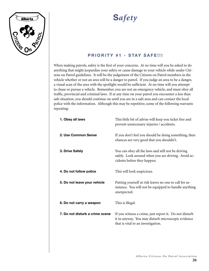

# **S***afety*

### **PRIORITY #1 - STAY SAFE!!!**

When making patrols, safety is the first of your concerns. At no time will you be asked to do anything that might jeopardize your safety or cause damage to your vehicle while under Citizens on Patrol guidelines. It will be the judgement of the Citizens on Patrol members in the vehicle whether or not an area will be a danger to patrol. If you judge an area to be a danger, a visual scan of the area with the spotlight would be sufficient. At no time will you attempt to chase or pursue a vehicle. Remember, you are not an emergency vehicle, and must obey all traffic, provincial and criminal laws. If at any time on your patrol you encounter a less than safe situation, you should continue on until you are in a safe area and can contact the local police with the information. Although this may be repetitive, some of the following warrants repeating:

| 1. Obey all laws                | This little bit of advise will keep you ticket free and<br>prevent unnecessary injuries / accidents.                                               |
|---------------------------------|----------------------------------------------------------------------------------------------------------------------------------------------------|
| 2. Use Common Sense             | If you don't feel you should be doing something, then<br>chances are very good that you shouldn't.                                                 |
| 3. Drive Safely                 | You can obey all the laws and still not be driving<br>safely. Look around when you are driving. Avoid ac-<br>cidents before they happen.           |
| 4. Do not follow police         | This will look suspicious.                                                                                                                         |
| 5. Do not leave your vehicle    | Putting yourself at risk leaves no one to call for as-<br>sistance. You will not be equipped to handle anything<br>unexpected.                     |
| 6. Do not carry a weapon        | This is illegal.                                                                                                                                   |
| 7. Do not disturb a crime scene | If you witness a crime, just report it. Do not disturb<br>it in anyway. You may disturb microscopic evidence<br>that is vital to an investigation. |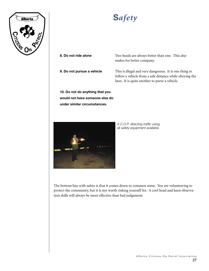

# **S***afety*

**8. Do not ride alone** Two heads are always better than one. This also makes for better company.

**9. Do not pursue a vehicle** This is illegal and very dangerous. It is one thing to follow a vehicle from a safe distance while obeying the laws. It is quite another to purse a vehicle.

**10. Do not do anything that you would not have someone else do under similar circumstances.**



*A C.O.P. directing traffic using all safety equipment available*

The bottom line with safety is that it comes down to common sense. You are volunteering to protect the community, but it is not worth risking yourself for. A cool head and keen observation skills will always be more effective than bad judgement.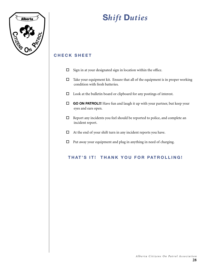

# **S***hift* **D***uties*

### **C H E C K S H E E T**

- $\square$  Sign in at your designated sign in location within the office.
- $\Box$  Take your equipment kit. Ensure that all of the equipment is in proper working condition with fresh batteries.
- $\square$  Look at the bulletin board or clipboard for any postings of interest.
- **GO ON PATROL!!!** Have fun and laugh it up with your partner, but keep your eyes and ears open.
- $\Box$  Report any incidents you feel should be reported to police, and complete an incident report.
- $\Box$  At the end of your shift turn in any incident reports you have.
- $\Box$  Put away your equipment and plug in anything in need of charging.

### **THAT'S IT! THANK YOU FOR PATROLLING!**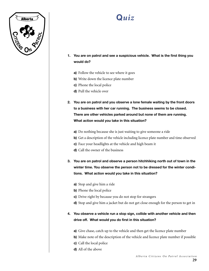

- **1. You are on patrol and see a suspicious vehicle. What is the first thing you would do?**
	- **a)** Follow the vehicle to see where it goes
	- **b)** Write down the licence plate number
	- **c)** Phone the local police
	- **d)** Pull the vehicle over
- **2. You are on patrol and you observe a lone female waiting by the front doors to a business with her car running. The business seems to be closed. There are other vehicles parked around but none of them are running. What action would you take in this situation?**
	- **a)** Do nothing because she is just waiting to give someone a ride
	- **b)** Get a description of the vehicle including licence plate number and time observed
	- **c)** Face your headlights at the vehicle and high beam it
	- **d)** Call the owner of the business
- **3. You are on patrol and observe a person hitchhiking north out of town in the winter time. You observe the person not to be dressed for the winter conditions. What action would you take in this situation?**
	- **a)** Stop and give him a ride
	- **b)** Phone the local police
	- **c)** Drive right by because you do not stop for strangers
	- **d)** Stop and give him a jacket but do not get close enough for the person to get in

#### **4. You observe a vehicle run a stop sign, collide with another vehicle and then drive off. What would you do first in this situation?**

- **a)** Give chase, catch up to the vehicle and then get the licence plate number
- **b)** Make note of the description of the vehicle and licence plate number if possible
- **c)** Call the local police
- **d)** All of the above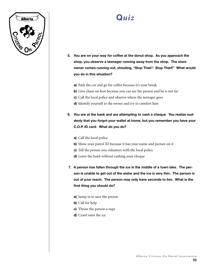

- **5. You are on your way for coffee at the donut shop. As you approach the shop, you observe a teenager running away from the shop. The store owner comes running out, shouting, "Stop Thief ! Stop Thief!" What would you do in this situation?**
	- **a)** Park the car and go for coffee because it's your break
	- **b)** Give chase on foot because you can see the person and he is not far
	- **c)** Call the local police and observe where the teenager goes
	- **d)** Identify yourself to the owner and try to comfort him
- **6. You are at the bank and are attempting to cash a cheque. You realize suddenly that you forgot your wallet at home, but you remember you have your C.O.P. ID card. What do you do?**
	- **a)** Call the local police
	- **b)** Show your patrol ID because it has your name and picture on it
	- **c)** Tell the person you volunteer with the local police
	- **d)** Leave the bank without cashing your cheque
- **7. A person has fallen through the ice in the middle of a town lake. The person is unable to get out of the water and the ice is very thin. The person is out of your reach. The person may only have seconds to live. What is the first thing you should do?**
	- **a)** Jump in to save the person
	- **b)** Call for help
	- **c)** Throw the person a rope
	- **d)** Crawl onto the ice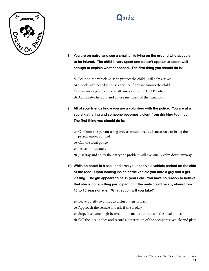

- **8. You are on patrol and see a small child lying on the ground who appears to be injured. The child is very upset and doesn't appear to speak well enough to explain what happened. The first thing you should do is:**
	- **a)** Position the vehicle so as to protect the child until help arrives
	- **b)** Check with near-by houses and see if anyone knows the child
	- **c)** Remain in your vehicle at all times as per the C.O.P. Policy
	- **d)** Administer first aid and advise members of the situation
- **9. All of your friends know you are a volunteer with the police. You are at a social gathering and someone becomes violent from drinking too much. The first thing you should do is:**
	- **a)** Confront the person using only as much force as is necessary to bring the person under control
	- **b)** Call the local police
	- **c)** Leave immediately
	- **d)** Just stay and enjoy the party the problem will eventually calm down anyway.

**10. While on patrol in a secluded area you observe a vehicle parked on the side of the road. Upon looking inside of the vehicle you note a guy and a girl kissing. The girl appears to be 12 years old. You have no reason to believe that she is not a willing participant, but the male could be anywhere from 13 to 18 years of age. What action will you take?**

- **a)** Leave quietly so as not to disturb their privacy
- **b)** Approach the vehicle and ask if she is okay
- **c)** Stop, flash your high beams on the male and then call the local police
- **d)** Call the local police and record a description of the occupants, vehicle and plate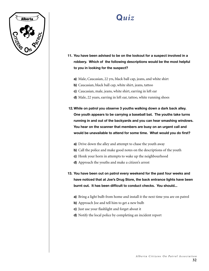

- **11. You have been advised to be on the lookout for a suspect involved in a robbery. Which of the following descriptions would be the most helpful to you in looking for the suspect?**
	- **a)** Male, Caucasian, 22 yrs, black ball cap, jeans, and white shirt
	- **b)** Caucasian, black ball cap, white shirt, jeans, tattoo
	- **c)** Caucasian, male, jeans, white shirt, earring in left ear
	- **d)** Male, 22 years, earring in left ear, tattoo, white running shoes

**12.While on patrol you observe 3 youths walking down a dark back alley. One youth appears to be carrying a baseball bat. The youths take turns running in and out of the backyards and you can hear smashing windows. You hear on the scanner that members are busy on an urgent call and would be unavailable to attend for some time. What would you do first?**

- **a)** Drive down the alley and attempt to chase the youth away
- **b)** Call the police and make good notes on the descriptions of the youth
- **c)** Honk your horn in attempts to wake up the neighbourhood
- **d)** Approach the youths and make a citizen's arrest

**13. You have been out on patrol every weekend for the past four weeks and have noticed that at Joe's Drug Store, the back entrance lights have been burnt out. It has been difficult to conduct checks. You should...**

- **a)** Bring a light bulb from home and install it the next time you are on patrol
- **b)** Approach Joe and tell him to get a new bulb
- **c)** Just use your flashlight and forget about it
- **d)** Notify the local police by completing an incident report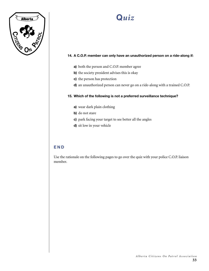

#### **14. A C.O.P. member can only have an unauthorized person on a ride-along if:**

- **a)** both the person and C.O.P. member agree
- **b)** the society president advises this is okay
- **c)** the person has protection
- **d)** an unauthorized person can never go on a ride-along with a trained C.O.P.

#### **15. Which of the following is not a preferred surveillance technique?**

- **a)** wear dark plain clothing
- **b)** do not stare
- **c)** park facing your target to see better all the angles
- **d)** sit low in your vehicle

#### **E N D**

Use the rationale on the following pages to go over the quiz with your police C.O.P. liaison member.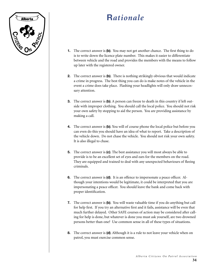

## **R***ationale*

- **1.** The correct answer is **(b)**. You may not get another chance. The first thing to do is to write down the licence plate number. This makes it easier to differentiate between vehicle and the road and provides the members with the means to follow up later with the registered owner.
- **2.** The correct answer is **(b)**. There is nothing strikingly obvious that would indicate a crime in progress. The best thing you can do is make notes of the vehicle in the event a crime does take place. Flashing your headlights will only draw unnecessary attention.
- **3.** The correct answer is **(b)**. A person can freeze to death in this country if left outside with improper clothing. You should call the local police. You should not risk your own safety by stopping to aid the person. You are providing assistance by making a call.
- **4.** The correct answer is **(b)**. You will of course phone the local police but before you can even do this you should have an idea of what to report. Take a description of the vehicle down. Do not chase the vehicle. You should not risk your own safety. It is also illegal to chase.
- **5.** The correct answer is **(c)**. The best assistance you will most always be able to provide is to be an excellent set of eyes and ears for the members on the road. They are equipped and trained to deal with any unexpected behaviours of fleeing criminals.
- **6.** The correct answer is **(d)**. It is an offence to impersonate a peace officer. Although your intentions would be legitimate, it could be interpreted that you are impersonating a peace officer. You should leave the bank and come back with proper identification.
- **7.** The correct answer is **(b)**. You will waste valuable time if you do anything but call for help first. If you try an alternative first and it fails, assistance will be even that much further delayed. Other SAFE courses of action may be considered after calling for help is done, but whatever is done you must ask yourself, are two drowned persons better than one? Use common sense in all of these types of situations.
- **8.** The correct answer is **(d)**. Although it is a rule to not leave your vehicle when on patrol, you must exercise common sense.